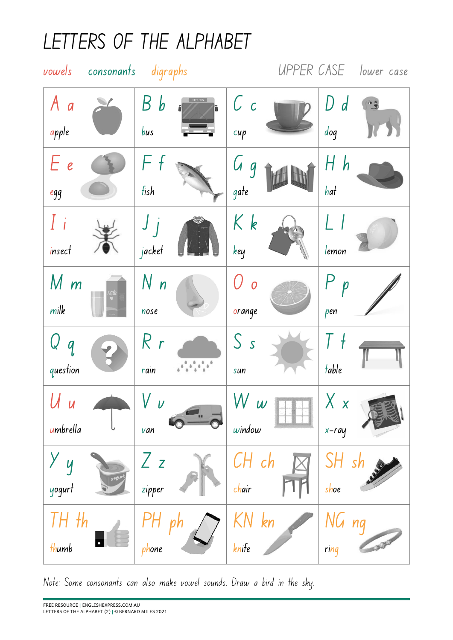## **LETTERS OF THE ALPHABET**



Note: Some consonants can also make vowel sounds: Draw a bird in the sky.